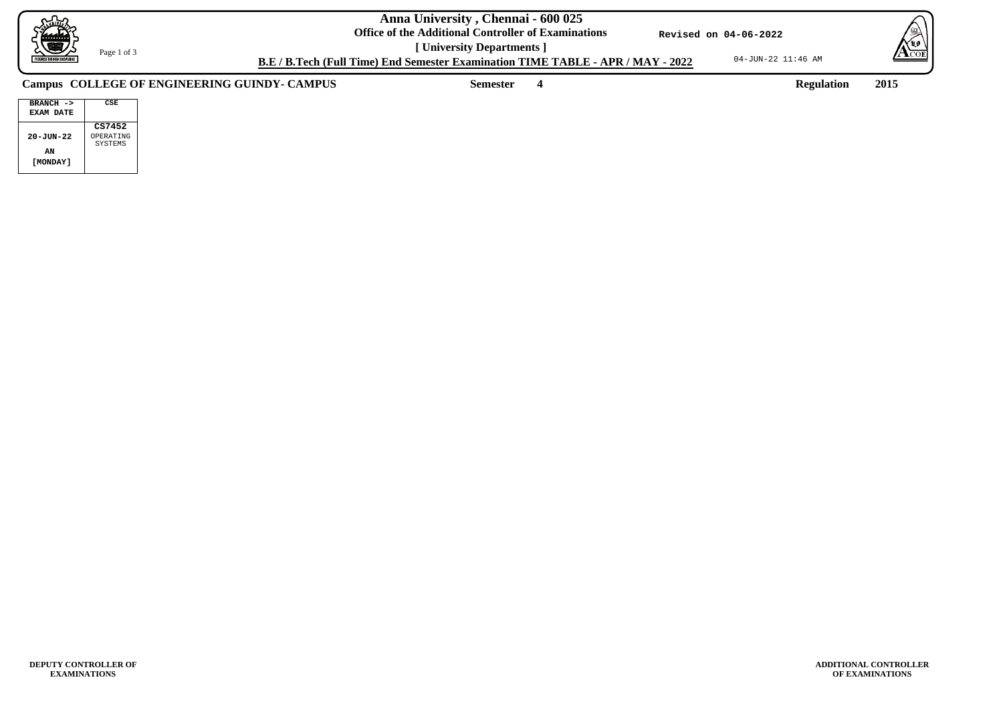04-JUN-22 11:46 AM



**ADDITIONAL CONTROLLER OF EXAMINATIONS**

**B.E / B.Tech (Full Time) End Semester Examination TIME TABLE - APR / MAY - 2022**

**Revised on 04-06-2022**



Page 1 of 3

**Semester 4 Regulation 2015**

| $BRANCH - >$<br>EXAM DATE | CSE       |
|---------------------------|-----------|
| $20 - J$ UN $-22$         | CS7452    |
| ΑN                        | OPERATING |
| I MONDAY 1                | SYSTEMS   |

## **Campus COLLEGE OF ENGINEERING GUINDY- CAMPUS**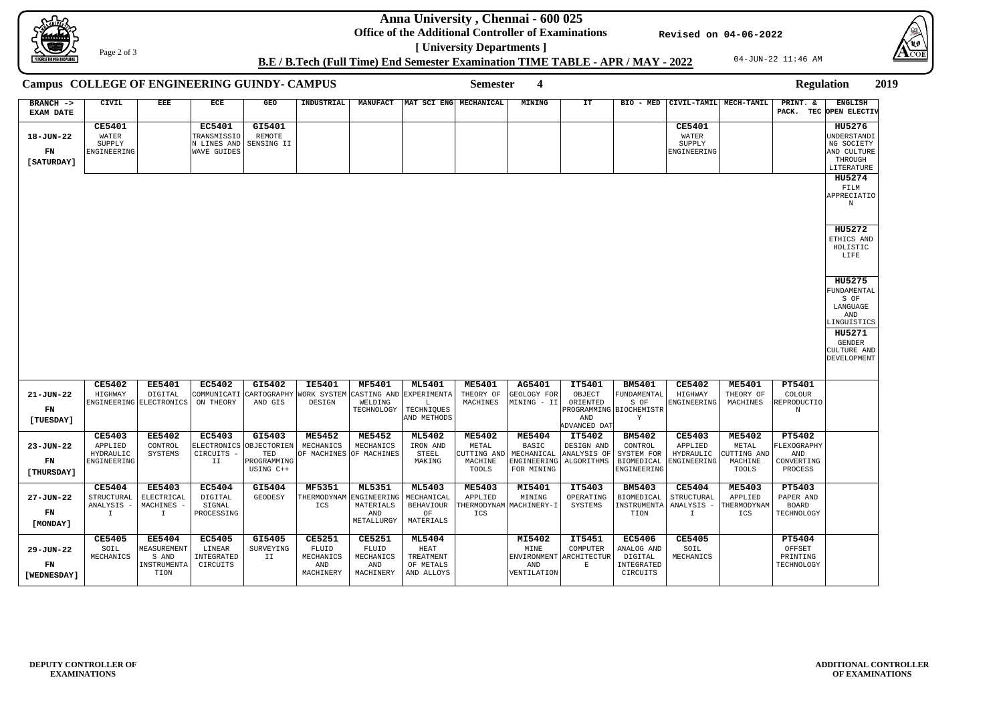**Anna University , Chennai - 600 025**

**Office of the Additional Controller of Examinations**

04-JUN-22 11:46 AM



|   |                        | <b>Regulation</b> |                |  |
|---|------------------------|-------------------|----------------|--|
| L | PRINT. &               |                   | <b>ENGLISH</b> |  |
|   | PACK. TEC OPEN ELECTIV |                   |                |  |
|   |                        |                   | <b>HII5276</b> |  |



**[ University Departments ] B.E / B.Tech (Full Time) End Semester Examination TIME TABLE - APR / MAY - 2022**

**Revised on 04-06-2022**

Page 2 of 3

| Campus COLLEGE OF ENGINEERING GUINDY- CAMPUS |                                                           |                                                              |                                                            |                                                                                  |                                                         |                                                                |                                                                    | <b>Semester</b>                                                      | $\overline{\mathbf{4}}$                                           |                                                                |                                                                     |                                                      |                                                           | <b>Regulation</b>                                            |                                                                             | 2019 |
|----------------------------------------------|-----------------------------------------------------------|--------------------------------------------------------------|------------------------------------------------------------|----------------------------------------------------------------------------------|---------------------------------------------------------|----------------------------------------------------------------|--------------------------------------------------------------------|----------------------------------------------------------------------|-------------------------------------------------------------------|----------------------------------------------------------------|---------------------------------------------------------------------|------------------------------------------------------|-----------------------------------------------------------|--------------------------------------------------------------|-----------------------------------------------------------------------------|------|
| BRANCH -><br><b>EXAM DATE</b>                | CIVIL                                                     | EEE                                                          | ECE                                                        | GEO                                                                              | INDUSTRIAL                                              | <b>MANUFACT</b>                                                | MAT SCI ENG MECHANICAL                                             |                                                                      | MINING                                                            | IT                                                             | BIO - MED                                                           | CIVIL-TAMIL MECH-TAMIL                               |                                                           | PRINT. &                                                     | <b>ENGLISH</b><br>PACK. TEC OPEN ELECTIV                                    |      |
| 18-JUN-22<br>FN<br>[SATURDAY]                | <b>CE5401</b><br>WATER<br>SUPPLY<br>ENGINEERING           |                                                              | <b>EC5401</b><br>TRANSMISSIO<br>N LINES AND<br>WAVE GUIDES | GI5401<br>REMOTE<br>SENSING II                                                   |                                                         |                                                                |                                                                    |                                                                      |                                                                   |                                                                |                                                                     | <b>CE5401</b><br>WATER<br>SUPPLY<br>ENGINEERING      |                                                           |                                                              | HU5276<br>UNDERSTANDI<br>NG SOCIETY<br>AND CULTURE<br>THROUGH<br>LITERATURE |      |
|                                              |                                                           |                                                              |                                                            |                                                                                  |                                                         |                                                                |                                                                    |                                                                      |                                                                   |                                                                |                                                                     |                                                      |                                                           |                                                              | HU5274<br>FILM<br>APPRECIATIO<br>N                                          |      |
|                                              |                                                           |                                                              |                                                            |                                                                                  |                                                         |                                                                |                                                                    |                                                                      |                                                                   |                                                                |                                                                     |                                                      |                                                           |                                                              | <b>HU5272</b><br>ETHICS AND<br>HOLISTIC<br>LIFE                             |      |
|                                              |                                                           |                                                              |                                                            |                                                                                  |                                                         |                                                                |                                                                    |                                                                      |                                                                   |                                                                |                                                                     |                                                      |                                                           |                                                              | <b>HU5275</b><br>FUNDAMENTAL<br>S OF<br>LANGUAGE<br>AND<br>LINGUISTICS      |      |
|                                              |                                                           |                                                              |                                                            |                                                                                  |                                                         |                                                                |                                                                    |                                                                      |                                                                   |                                                                |                                                                     |                                                      |                                                           |                                                              | <b>HU5271</b><br>GENDER<br>CULTURE AND<br>DEVELOPMENT                       |      |
| $21 - JUN - 22$<br>FN<br>[TUESDAY]           | <b>CE5402</b><br>HIGHWAY                                  | <b>EE5401</b><br>DIGITAL<br>ENGINEERING ELECTRONICS          | <b>EC5402</b><br>COMMUNICATI<br>ON THEORY                  | GI5402<br><b>CARTOGRAPHY</b><br>AND GIS                                          | <b>IE5401</b><br>WORK SYSTEM<br>DESIGN                  | MF5401<br>CASTING AND<br>WELDING<br>TECHNOLOGY                 | <b>ML5401</b><br>EXPERIMENTA<br>L<br>TECHNIQUES<br>AND METHODS     | <b>ME5401</b><br>THEORY OF<br>MACHINES                               | AG5401<br>GEOLOGY FOR<br>MINING - II                              | IT5401<br>OBJECT<br>ORIENTED<br>PROGRAMMING BIOCHEMISTR<br>AND | <b>BM5401</b><br>FUNDAMENTAL<br>S OF<br>Y                           | <b>CE5402</b><br>HIGHWAY<br>ENGINEERING              | <b>ME5401</b><br>THEORY OF<br>MACHINES                    | <b>PT5401</b><br>COLOUR<br>REPRODUCTIO<br>N                  |                                                                             |      |
|                                              |                                                           |                                                              |                                                            |                                                                                  |                                                         |                                                                |                                                                    |                                                                      |                                                                   | ADVANCED DAT                                                   |                                                                     |                                                      |                                                           |                                                              |                                                                             |      |
| 23-JUN-22<br>FN<br>[THURSDAY]                | <b>CE5403</b><br>APPLIED<br>HYDRAULIC<br>ENGINEERING      | <b>EE5402</b><br>CONTROL<br>SYSTEMS                          | <b>EC5403</b><br>CIRCUITS -<br>II                          | GI5403<br>ELECTRONICS OBJECTORIEN   MECHANICS<br>TED<br>PROGRAMMING<br>USING C++ | <b>ME5452</b><br>OF MACHINES OF MACHINES                | <b>ME5452</b><br>MECHANICS                                     | <b>ML5402</b><br>IRON AND<br>STEEL<br>MAKING                       | <b>ME5402</b><br>METAL<br>CUTTING AND MECHANICAL<br>MACHINE<br>TOOLS | <b>ME5404</b><br>BASIC<br>ENGINEERING<br>FOR MINING               | IT5402<br>DESIGN AND<br>ANALYSIS OF<br>ALGORITHMS              | <b>BM5402</b><br>CONTROL<br>SYSTEM FOR<br>BIOMEDICAL<br>ENGINEERING | <b>CE5403</b><br>APPLIED<br>HYDRAULIC<br>ENGINEERING | <b>ME5402</b><br>METAL<br>CUTTING AND<br>MACHINE<br>TOOLS | <b>PT5402</b><br>FLEXOGRAPHY<br>AND<br>CONVERTING<br>PROCESS |                                                                             |      |
| 27-JUN-22<br>FN<br>[MONDAY]                  | <b>CE5404</b><br>STRUCTURAL<br>ANALYSIS -<br>$\mathbf{I}$ | <b>EE5403</b><br>ELECTRICAL<br>MACHINES -<br>$\mathbf{I}$    | <b>EC5404</b><br>DIGITAL<br>SIGNAL<br>PROCESSING           | GI5404<br>GEODESY                                                                | <b>MF5351</b><br>THERMODYNAM<br>ICS                     | <b>ML5351</b><br>ENGINEERING<br>MATERIALS<br>AND<br>METALLURGY | <b>ML5403</b><br>MECHANICAL<br><b>BEHAVIOUR</b><br>OF<br>MATERIALS | <b>ME5403</b><br>APPLIED<br>ICS                                      | MI5401<br>MINING<br>THERMODYNAM MACHINERY-I                       | IT5403<br>OPERATING<br>SYSTEMS                                 | <b>BM5403</b><br>BIOMEDICAL<br>INSTRUMENTA   ANALYSIS -<br>TION     | <b>CE5404</b><br>STRUCTURAL<br>$\mathbf{I}$          | <b>ME5403</b><br>APPLIED<br>THERMODYNAM<br>ICS            | PT5403<br>PAPER AND<br>BOARD<br>TECHNOLOGY                   |                                                                             |      |
| 29-JUN-22<br>FN<br>[WEDNESDAY]               | <b>CE5405</b><br>SOIL<br>MECHANICS                        | <b>EE5404</b><br>MEASUREMENT<br>S AND<br>INSTRUMENTA<br>TION | <b>EC5405</b><br>LINEAR<br>INTEGRATED<br>CIRCUITS          | GI5405<br>SURVEYING<br>II                                                        | <b>CE5251</b><br>FLUID<br>MECHANICS<br>AND<br>MACHINERY | <b>CE5251</b><br>FLUID<br>MECHANICS<br>AND<br>MACHINERY        | <b>ML5404</b><br>HEAT<br>TREATMENT<br>OF METALS<br>AND ALLOYS      |                                                                      | <b>MI5402</b><br>MINE<br><b>ENVIRONMENT</b><br>AND<br>VENTILATION | IT5451<br>COMPUTER<br>ARCHITECTUR<br>Е                         | <b>EC5406</b><br>ANALOG AND<br>DIGITAL<br>INTEGRATED<br>CIRCUITS    | <b>CE5405</b><br>SOIL<br>MECHANICS                   |                                                           | <b>PT5404</b><br>OFFSET<br>PRINTING<br>TECHNOLOGY            |                                                                             |      |